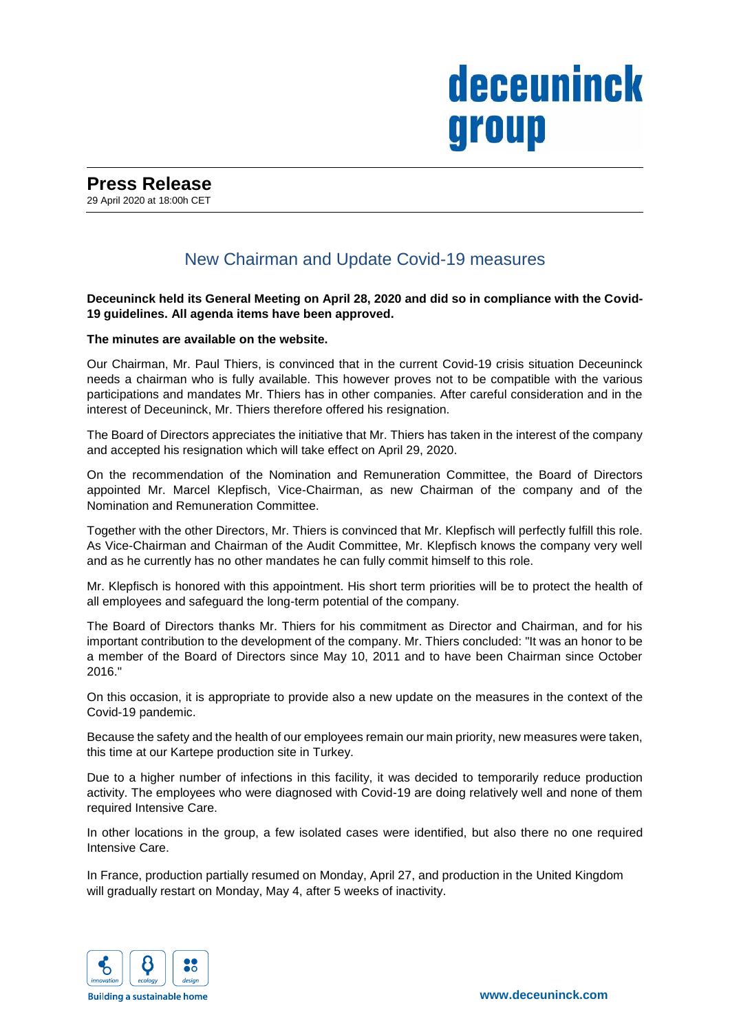# deceuninck group

# New Chairman and Update Covid-19 measures

**Deceuninck held its General Meeting on April 28, 2020 and did so in compliance with the Covid-19 guidelines. All agenda items have been approved.**

## **The minutes are available on the website.**

Our Chairman, Mr. Paul Thiers, is convinced that in the current Covid-19 crisis situation Deceuninck needs a chairman who is fully available. This however proves not to be compatible with the various participations and mandates Mr. Thiers has in other companies. After careful consideration and in the interest of Deceuninck, Mr. Thiers therefore offered his resignation.

The Board of Directors appreciates the initiative that Mr. Thiers has taken in the interest of the company and accepted his resignation which will take effect on April 29, 2020.

On the recommendation of the Nomination and Remuneration Committee, the Board of Directors appointed Mr. Marcel Klepfisch, Vice-Chairman, as new Chairman of the company and of the Nomination and Remuneration Committee.

Together with the other Directors, Mr. Thiers is convinced that Mr. Klepfisch will perfectly fulfill this role. As Vice-Chairman and Chairman of the Audit Committee, Mr. Klepfisch knows the company very well and as he currently has no other mandates he can fully commit himself to this role.

Mr. Klepfisch is honored with this appointment. His short term priorities will be to protect the health of all employees and safeguard the long-term potential of the company.

The Board of Directors thanks Mr. Thiers for his commitment as Director and Chairman, and for his important contribution to the development of the company. Mr. Thiers concluded: "It was an honor to be a member of the Board of Directors since May 10, 2011 and to have been Chairman since October 2016."

On this occasion, it is appropriate to provide also a new update on the measures in the context of the Covid-19 pandemic.

Because the safety and the health of our employees remain our main priority, new measures were taken, this time at our Kartepe production site in Turkey.

Due to a higher number of infections in this facility, it was decided to temporarily reduce production activity. The employees who were diagnosed with Covid-19 are doing relatively well and none of them required Intensive Care.

In other locations in the group, a few isolated cases were identified, but also there no one required Intensive Care.

In France, production partially resumed on Monday, April 27, and production in the United Kingdom will gradually restart on Monday, May 4, after 5 weeks of inactivity.